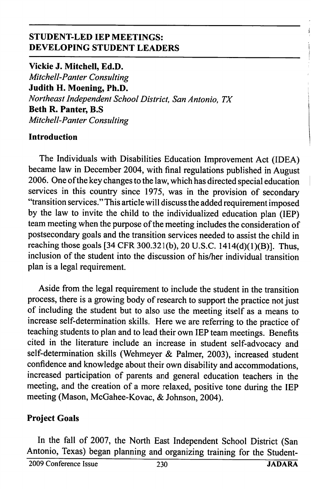## STUDENT-LED lEP MEETINGS: DEVELOPING STUDENT LEADERS

Vickie J. Mitchell, Ed.D. Mitchell-Panter Consulting Judith H. Moening, Ph.D. Northeast Independent School District, San Antonio, TX Beth R. Panter, B.S Mitchell-Panter Consulting

### Introduction

The Individuals with Disabilities Education Improvement Act (IDEA) became law in December 2004, with final regulations published in August 2006. One of the key changes to the law, which has directed special education services in this country since 1975, was in the provision of secondary "transition services." This article will discuss the added requirement imposed by the law to invite the child to the individualized education plan (IE?) team meeting when the purpose of the meeting includes the consideration of postsecondary goals and the transition services needed to assist the child in reaching those goals [34 CFR 300.321(b), 20 U.S.C. 1414(d)(1)(B)]. Thus, inclusion of the student into the discussion of his/her individual transition plan is a legal requirement.

Aside from the legal requirement to include the student in the transition process, there is a growing body of research to support the practice not just of including the student but to also use the meeting itself as a means to increase self-determination skills. Here we are referring to the practice of teaching students to plan and to lead their own IEP team meetings. Benefits cited in the literature include an increase in student self-advocacy and self-determination skills (Wehmeyer & Palmer, 2003), increased student confidence and knowledge about their own disability and accommodations, increased participation of parents and general education teachers in the meeting, and the creation of a more relaxed, positive tone during the IEP meeting (Mason, McGahee-Kovac, & Johnson, 2004).

### Project Goals

In the fall of 2007, the North East Independent School District (San Antonio, Texas) began planning and organizing training for the Student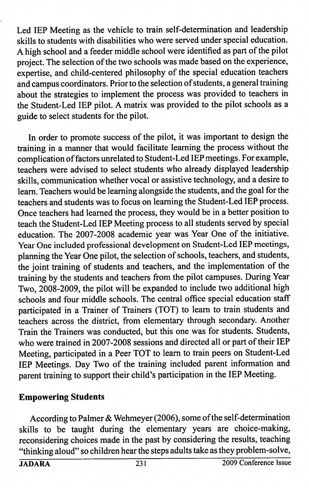Led lEP Meeting as the vehicle to train self-determination and leadership skills to students with disabilities who were served under special education. A high school and a feeder middle school were identified as part of the pilot project. The selection of the two schools was made based on the experience, expertise, and child-centered philosophy of the special education teachers and campus coordinators. Prior to the selection of students, a general training about the strategies to implement the process was provided to teachers in the Student-Led lEP pilot. A matrix was provided to the pilot schools as a guide to select students for the pilot.

In order to promote success of the pilot, it was important to design the training in a manner that would facilitate learning the process without the complication of factors unrelated to Student-Led lEP meetings. For example, teachers were advised to select students who already displayed leadership skills, communication whether vocal or assistive technology, and a desire to learn. Teachers would be learning alongside the students, and the goal for the teachers and students was to focus on learning the Student-Led lEP process. Once teachers had learned the process, they would be in a better position to teach the Student-Led lEP Meeting process to all students served by special education. The 2007-2008 academic year was Year One of the initiative. Year One included professional development on Student-Led lEP meetings, planning the Year One pilot, the selection of schools, teachers, and students, the joint training of students and teachers, and the implementation of the training by the students and teachers from the pilot campuses. During Year Two, 2008-2009, the pilot will be expanded to include two additional high schools and four middle schools. The central office special education staff participated in a Trainer of Trainers (TOT) to learn to train students and teachers across the district, from elementary through secondary. Another Train the Trainers was conducted, but this one was for students. Students, who were trained in 2007-2008 sessions and directed all or part of their lEP Meeting, participated in a Peer TOT to learn to train peers on Student-Led lEP Meetings. Day Two of the training included parent information and parent training to support their child's participation in the lEP Meeting.

### Empowering Students

According to Palmer & Wehmeyer (2006), some of the self-determination skills to be taught during the elementary years are choice-making, reconsidering choices made in the past by considering the results, teaching "thinking aloud" so children hear the steps adults take as they problem-solve,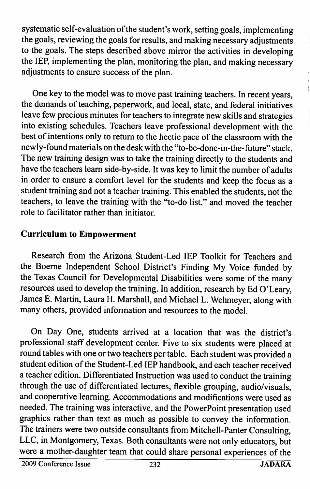systematic self-evaluation of the student's work, setting goals, implementing the goals, reviewing the goals for results, and making necessary adjustments to the goals. The steps described above mirror the activities in developing the lEP, implementing the plan, monitoring the plan, and making necessary adjustments to ensure success of the plan.

One key to the model was to move past training teachers. In recent years, the demands of teaching, paperwork, and local, state, and federal initiatives leave few precious minutes for teachers to integrate new skills and strategies into existing schedules. Teachers leave professional development with the best of intentions only to return to the hectic pace of the classroom with the newly-found materials on the desk with the "to-be-done-in-the-future" stack. The new training design was to take the training directly to the students and have the teachers leam side-by-side. It was key to limit the number of adults in order to ensure a comfort level for the students and keep the focus as a student training and not a teacher training. This enabled the students, not the teachers, to leave the training with the "to-do list," and moved the teacher role to facilitator rather than initiator.

## Curriculum to Empowerment

Research from the Arizona Student-Led lEP Toolkit for Teachers and the Boeme Independent School District's Finding My Voice funded by the Texas Council for Developmental Disabilities were some of the many resources used to develop the training. In addition, research by Ed O'Leary, James E. Martin, Laura H. Marshall, and Michael L. Wehmeyer, along with many others, provided information and resources to the model.

On Day One, students arrived at a location that was the district's professional staff development center. Five to six students were placed at round tables with one or two teachers per table. Each student was provided a student edition of the Student-Led lEP handbook, and each teacher received a teacher edition. Differentiated Instruction was used to conduct the training through the use of differentiated lectures, flexible grouping, audio/visuals, and cooperative learning. Accommodations and modifications were used as needed. The training was interactive, and the PowerPoint presentation used graphics rather than text as much as possible to convey the information. The trainers were two outside consultants from Mitchell-Panter Consulting, LLC, in Montgomery, Texas. Both consultants were not only educators, but were a mother-daughter team that could share personal experiences of the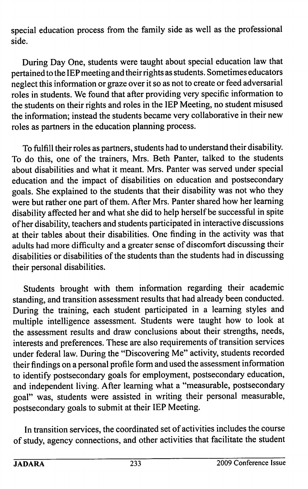special education process from the family side as well as the professional side.

During Day One, students were taught about special education law that pertained to the lEP meeting and their rights as students. Sometimes educators neglect this information or graze over it so as not to create or feed adversarial roles in students. We found that after providing very specific information to the students on their rights and roles in the lEP Meeting, no student misused the information; instead the students became very collaborative in their new roles as partners in the education planning process.

To fulfill their roles as partners, students had to understand their disability. To do this, one of the trainers, Mrs. Beth Panter, talked to the students about disabilities and what it meant. Mrs. Panter was served under special education and the impact of disabilities on education and postsecondary goals. She explained to the students that their disability was not who they were but rather one part of them. After Mrs. Panter shared how her learning disability affected her and what she did to help herself be successful in spite of her disability, teachers and students participated in interactive discussions at their tables about their disabilities. One finding in the activity was that adults had more difficulty and a greater sense of discomfort discussing their disabilities or disabilities of the students than the students had in discussing their personal disabilities.

Students brought with them information regarding their academic standing, and transition assessment results that had already been conducted. During the training, each student participated in a learning styles and multiple intelligence assessment. Students were taught how to look at the assessment results and draw conclusions about their strengths, needs, interests and preferences. These are also requirements of transition services under federal law. During the "Discovering Me" activity, students recorded their findings on a personal profile form and used the assessment information to identify postsecondary goals for employment, postsecondary education, and independent living. After learning what a "measurable, postsecondary goal" was, students were assisted in writing their personal measurable, postsecondary goals to submit at their lEP Meeting.

In transition services, the coordinated set of activities includes the course of study, agency connections, and other activities that facilitate the student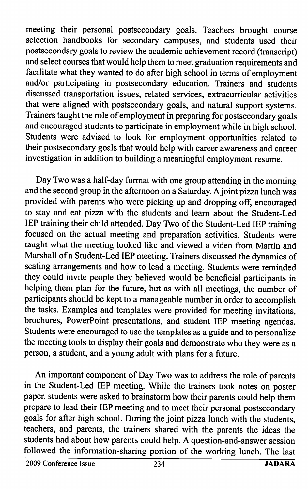meeting their personal postsecondary goals. Teachers brought course selection handbooks for secondary campuses, and students used their postsecondary goals to review the academic achievement record (transcript) and select courses that would help them to meet graduation requirements and facilitate what they wanted to do after high school in terms of employment and/or participating in postsecondary education. Trainers and students discussed transportation issues, related services, extracurricular activities that were aligned with postsecondary goals, and natural support systems. Trainers taught the role of employment in preparing for postsecondary goals and encouraged students to participate in employment while in high school. Students were advised to look for employment opportunities related to their postsecondary goals that would help with career awareness and career investigation in addition to building a meaningful employment resume.

Day Two was a half-day format with one group attending in the morning and the second group in the afternoon on a Saturday. A joint pizza lunch was provided with parents who were picking up and dropping off, encouraged to stay and eat pizza with the students and learn about the Student-Led lEP training their child attended. Day Two of the Student-Led lEP training focused on the actual meeting and preparation activities. Students were taught what the meeting looked like and viewed a video from Martin and Marshall of a Student-Led lEP meeting. Trainers discussed the dynamics of seating arrangements and how to lead a meeting. Students were reminded they could invite people they believed would be beneficial participants in helping them plan for the future, but as with all meetings, the number of participants should be kept to a manageable number in order to accomplish the tasks. Examples and templates were provided for meeting invitations, brochures, PowerPoint presentations, and student lEP meeting agendas. Students were encouraged to use the templates as a guide and to personalize the meeting tools to display their goals and demonstrate who they were as a person, a student, and a young adult with plans for a future.

An important component of Day Two was to address the role of parents in the Student-Led lEP meeting. While the trainers took notes on poster paper, students were asked to brainstorm how their parents could help them prepare to lead their lEP meeting and to meet their personal postsecondary goals for after high school. During the joint pizza lunch with the students, teachers, and parents, the trainers shared with the parents the ideas the students had about how parents could help. A question-and-answer session followed the information-sharing portion of the working lunch. The last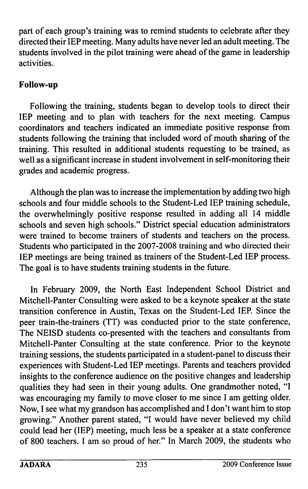part of each group's training was to remind students to celebrate after they directed their lEP meeting. Many adults have never led an adult meeting. The students involved in the pilot training were ahead of the game in leadership activities.

# Follow-up

Following the training, students began to develop tools to direct their lEP meeting and to plan with teachers for the next meeting. Campus coordinators and teachers indicated an immediate positive response from students following the training that included word of mouth sharing of the training. This resulted in additional students requesting to be trained, as well as a significant increase in student involvement in self-monitoring their grades and academic progress.

Although the plan was to increase the implementation by adding two high schools and four middle schools to the Student-Led lEP training schedule, the overwhelmingly positive response resulted in adding all 14 middle schools and seven high schools." District special education administrators were trained to become trainers of students and teachers on the process. Students who participated in the 2007-2008 training and who directed their lEP meetings are being trained as trainers of the Student-Led lEP process. The goal is to have students training students in the future.

In February 2009, the North East Independent School District and Mitchell-Panter Consulting were asked to be a keynote speaker at the state transition conference in Austin, Texas on the Student-Led lEP. Since the peer train-the-trainers (TT) was conducted prior to the state conference. The NEISD students co-presented with the teachers and consultants from Mitchell-Panter Consulting at the state conference. Prior to the keynote training sessions, the students participated in a student-panel to discuss their experiences with Student-Led lEP meetings. Parents and teachers provided insights to the conference audience on the positive changes and leadership qualities they had seen in their young adults. One grandmother noted, "I was encouraging my family to move closer to me since I am getting older. Now, I see what my grandson has accomplished and I don't want him to stop growing." Another parent stated, "I would have never believed my child could lead her (lEP) meeting, much less be a speaker at a state conference of 800 teachers. I am so proud of her." In March 2009, the students who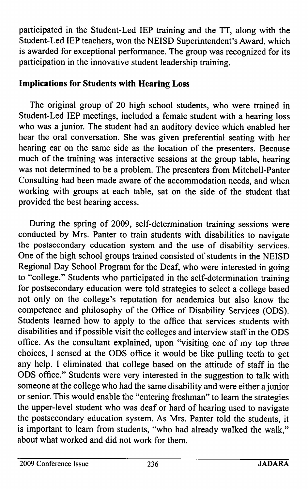participated in the Student-Led lEP training and the TT, along with the Student-Led lEP teachers, won the NEISD Superintendent's Award, which is awarded for exceptional performance. The group was recognized for its participation in the innovative student leadership training.

## Implications for Students with Hearing Loss

The original group of 20 high school students, who were trained in Student-Led lEP meetings, included a female student with a hearing loss who was a junior. The student had an auditory device which enabled her hear the oral conversation. She was given preferential seating with her hearing ear on the same side as the location of the presenters. Because much of the training was interactive sessions at the group table, hearing was not determined to be a problem. The presenters from Mitchell-Panter Consulting had been made aware of the accommodation needs, and when working with groups at each table, sat on the side of the student that provided the best hearing access.

During the spring of 2009, self-determination training sessions were conducted by Mrs. Panter to train students with disabilities to navigate the postsecondary education system and the use of disability services. One of the high school groups trained consisted of students in the NEISD Regional Day School Program for the Deaf, who were interested in going to "college." Students who participated in the self-determination training for postsecondary education were told strategies to select a college based not only on the college's reputation for academics but also know the competence and philosophy of the Office of Disability Services (CDS). Students learned how to apply to the office that services students with disabilities and if possible visit the colleges and interview staff in the CDS office. As the consultant explained, upon "visiting one of my top three choices, I sensed at the CDS office it would be like pulling teeth to get any help. I eliminated that college based on the attitude of staff in the CDS office." Students were very interested in the suggestion to talk with someone at the college who had the same disability and were either a junior or senior. This would enable the "entering freshman" to learn the strategies the upper-level student who was deaf or hard of hearing used to navigate the postsecondary education system. As Mrs. Panter told the students, it is important to learn from students, "who had already walked the walk," about what worked and did not work for them.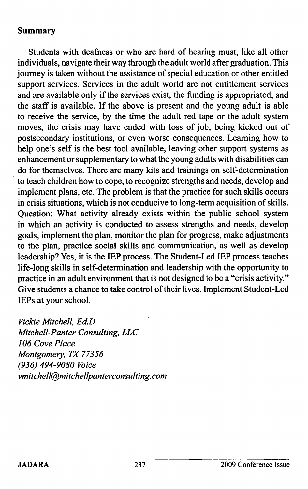### Summary

Students with deafness or who are hard of hearing must, like all other individuals, navigate their way through the adult world after graduation. This journey is taken without the assistance of special education or other entitled support services. Services in the adult world are not entitlement services and are available only if the services exist, the funding is appropriated, and the staff is available. If the above is present and the young adult is able to receive the service, by the time the adult red tape or the adult system moves, the crisis may have ended with loss of job, being kicked out of postsecondary institutions, or even worse consequences. Leaming how to help one's self is the best tool available, leaving other support systems as enhancement or supplementary to what the young adults with disabilities can do for themselves. There are many kits and trainings on self-determination to teach children how to cope, to recognize strengths and needs, develop and implement plans, etc. The problem is that the practice for such skills occurs in crisis situations, which is not conducive to long-term acquisition of skills. Question: What activity already exists within the public school system in which an activity is conducted to assess strengths and needs, develop goals, implement the plan, monitor the plan for progress, make adjustments to the plan, practice social skills and communication, as well as develop leadership? Yes, it is the lEP process. The Student-Led lEP process teaches life-long skills in self-determination and leadership with the opportunity to practice in an adult environment that is not designed to be a "crisis activity." Give students a chance to take control of their lives. Implement Student-Led lEPs at your school.

Vickie Mitchell, Ed.D. Mitchell-Panter Consulting, LLC 106 Cove Place Montgomery, TX 77356 (936) 494-9080 Voice vmitchell@mitchellpanterconsulting.com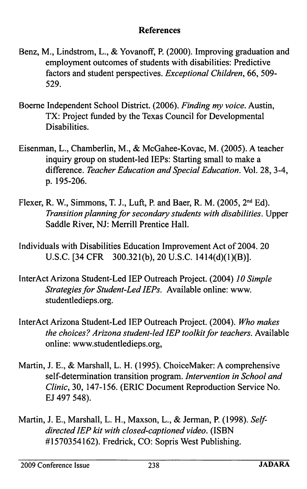#### References

- Benz, M., Lindstrom, L., & Yovanoff, P. (2000). Improving graduation and employment outcomes of students with disabilities: Predictive factors and student perspectives. Exceptional Children, 66, 509-529.
- Boeme Independent School District. (2006). Finding my voice. Austin, TX: Project funded by the Texas Council for Developmental Disabilities.
- Eisenman, L., Chamberlin, M., & McGahee-Kovac, M. (2005). A teacher inquiry group on student-led lEPs: Starting small to make a difference. Teacher Education and Special Education. Vol. 28, 3-4, p. 195-206.
- Flexer, R. W., Simmons, T. J., Luft, P. and Baer, R. M. (2005,  $2<sup>nd</sup> Ed$ ). Transition planning for secondary students with disabilities. Upper Saddle River, NJ: Merrill Prentice Hall.
- Individuals with Disabilities Education Improvement Act of 2004. 20 U.S.C. [34 CFR 300.321(b), 20 U.S.C. 1414(d)(1)(B)].
- InterAct Arizona Student-Led lEP Outreach Project. (2004) 10 Simple Strategies for Student-Led lEPs. Available online: www. studentledieps.org.
- InterAct Arizona Student-Led lEP Outreach Project. (2004). Who makes the choices? Arizona student-led lEP toolkit for teachers. Available online: www.studentledieps.org,
- Martin, J. E., & Marshall, L. H. (1995). ChoiceMaker: A comprehensive self-determination transition program. Intervention in School and Clinic, 30, 147-156. (ERIC Document Reproduction Service No. EJ 497 548).
- Martin, J. E., Marshall, L. H., Maxson, L., & Jerman, P. (1998). Selfdirected lEP kit with closed-captioned video. (ISBN #1570354162). Fredrick, CO: Sopris West Publishing.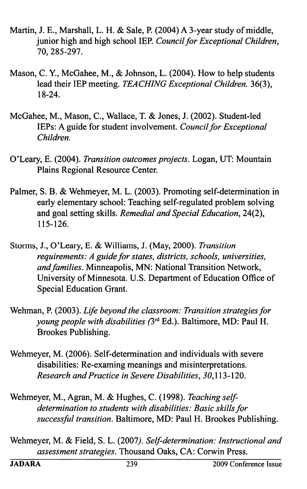- Martin, J. E., Marshall, L. H. & Sale, P. (2004) A 3-year study of middle, junior high and high school IEP. Council for Exceptional Children, 70, 285-297.
- Mason, C. Y., McGahee, M., & Johnson, L. (2004). How to help students lead their IEP meeting. TEACHING Exceptional Children. 36(3), 18-24.
- McGahee, M., Mason, C., Wallace, T. & Jones, J. (2002). Student-led lEPs: A guide for student involvement. Council for Exceptional Children.
- O'Leary, E. (2004). Transition outcomes projects. Logan, UT: Mountain Plains Regional Resource Center.
- Palmer, S. B. & Wehmeyer, M. L. (2003). Promoting self-determination in early elementary school: Teaching self-regulated problem solving and goal setting skills. Remedial and Special Education, 24(2), 115-126.
- Storms, J., O'Leary, E. & Williams, J. (May, 2000). Transition requirements: A guide for states, districts, schools, universities, and families. Minneapolis, MN: National Transition Network, University of Minnesota. U.S. Department of Education Office of Special Education Grant.
- Wehman, P. (2003). Life beyond the classroom: Transition strategies for young people with disabilities (3<sup>rd</sup> Ed.). Baltimore, MD: Paul H. Brookes Publishing.
- Wehmeyer, M. (2006). Self-determination and individuals with severe disabilities: Re-examing meanings and misinterpretations. Research and Practice in Severe Disabilities, 50,113-120.
- Wehmeyer, M., Agran, M. & Hughes, C. (1998). Teaching selfdetermination to students with disabilities: Basic skills for successful transition. Baltimore, MD: Paul H. Brookes Publishing.
- Wehmeyer, M. & Field, S. L. (2007). Self-determination: Instructional and assessment strategies. Thousand Oaks, CA: Corwin Press.